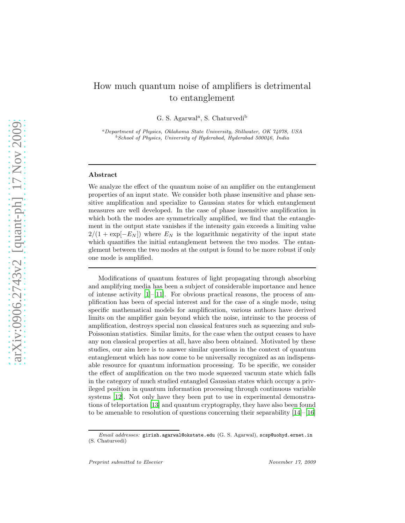## How much quantum noise of amplifiers is detrimental to entanglement

G. S. Agarwal<sup>a</sup>, S. Chaturvedi<sup>b</sup>

<sup>a</sup>Department of Physics, Oklahoma State University, Stillwater, OK 74078, USA  $^{b}$ School of Physics, University of Hyderabad, Hyderabad 500046, India

## Abstract

We analyze the effect of the quantum noise of an amplifier on the entanglement properties of an input state. We consider both phase insensitive and phase sensitive amplification and specialize to Gaussian states for which entanglement measures are well developed. In the case of phase insensitive amplification in which both the modes are symmetrically amplified, we find that the entanglement in the output state vanishes if the intensity gain exceeds a limiting value  $2/(1 + \exp[-E_N])$  where  $E_N$  is the logarithmic negativity of the input state which quantifies the initial entanglement between the two modes. The entanglement between the two modes at the output is found to be more robust if only one mode is amplified.

Modifications of quantum features of light propagating through absorbing and amplifying media has been a subject of considerable importance and hence of intense activity  $[1]$ – $[11]$ . For obvious practical reasons, the process of amplification has been of special interest and for the case of a single mode, using specific mathematical models for amplification, various authors have derived limits on the amplifier gain beyond which the noise, intrinsic to the process of amplification, destroys special non classical features such as squeezing and sub-Poissonian statistics. Similar limits, for the case when the output ceases to have any non classical properties at all, have also been obtained. Motivated by these studies, our aim here is to answer similar questions in the context of quantum entanglement which has now come to be universally recognized as an indispensable resource for quantum information processing. To be specific, we consider the effect of amplification on the two mode squeezed vacuum state which falls in the category of much studied entangled Gaussian states which occupy a privileged position in quantum information processing through continuous variable systems [\[12\]](#page-8-0). Not only have they been put to use in experimental demonstrations of teleportation [\[13\]](#page-8-1) and quantum cryptography, they have also been found to be amenable to resolution of questions concerning their separability [\[14](#page-8-2)]–[\[16\]](#page-8-3)

Email addresses: girish.agarwal@okstate.edu (G. S. Agarwal), scsp@uohyd.ernet.in (S. Chaturvedi)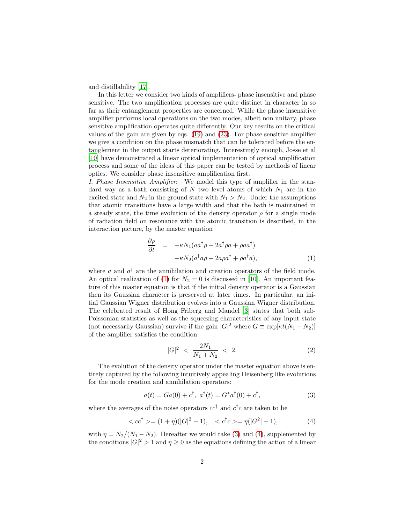and distillability [\[17](#page-8-4)].

In this letter we consider two kinds of amplifiers- phase insensitive and phase sensitive. The two amplification processes are quite distinct in character in so far as their entanglement properties are concerned. While the phase insensitive amplifier performs local operations on the two modes, albeit non unitary, phase sensitive amplification operates quite differently. Our key results on the critical values of the gain are given by eqs. [\(19\)](#page-4-0) and [\(23\)](#page-5-0). For phase sensitive amplifier we give a condition on the phase mismatch that can be tolerated before the entanglement in the output starts deteriorating. Interestingly enough, Josse et al [\[10\]](#page-7-2) have demonstrated a linear optical implementation of optical amplification process and some of the ideas of this paper can be tested by methods of linear optics. We consider phase insensitive amplification first.

I. Phase Insensitive Amplifier: We model this type of amplifier in the standard way as a bath consisting of N two level atoms of which  $N_1$  are in the excited state and  $N_2$  in the ground state with  $N_1 > N_2$ . Under the assumptions that atomic transitions have a large width and that the bath is maintained in a steady state, the time evolution of the density operator  $\rho$  for a single mode of radiation field on resonance with the atomic transition is described, in the interaction picture, by the master equation

<span id="page-1-0"></span>
$$
\frac{\partial \rho}{\partial t} = -\kappa N_1 (a a^{\dagger} \rho - 2 a^{\dagger} \rho a + \rho a a^{\dagger}) \n- \kappa N_2 (a^{\dagger} a \rho - 2 a \rho a^{\dagger} + \rho a^{\dagger} a),
$$
\n(1)

where a and  $a^{\dagger}$  are the annihilation and creation operators of the field mode. An optical realization of [\(1\)](#page-1-0) for  $N_2 = 0$  is discussed in [\[10\]](#page-7-2). An important feature of this master equation is that if the initial density operator is a Gaussian then its Gaussian character is preserved at later times. In particular, an initial Gaussian Wigner distribution evolves into a Gaussian Wigner distribution. The celebrated result of Hong Friberg and Mandel [\[3\]](#page-7-3) states that both sub-Poissonian statistics as well as the squeezing characteristics of any input state (not necessarily Gaussian) survive if the gain  $|G|^2$  where  $G \equiv \exp[\kappa t (N_1 - N_2)]$ of the amplifier satisfies the condition

$$
|G|^2 \, < \, \frac{2N_1}{N_1 + N_2} \, < \, 2. \tag{2}
$$

The evolution of the density operator under the master equation above is entirely captured by the following intuitively appealing Heisenberg like evolutions for the mode creation and annihilation operators:

<span id="page-1-1"></span>
$$
a(t) = Ga(0) + c^{\dagger}, \ a^{\dagger}(t) = G^* a^{\dagger}(0) + c^{\dagger}, \tag{3}
$$

where the averages of the noise operators  $cc^{\dagger}$  and  $c^{\dagger}c$  are taken to be

<span id="page-1-2"></span>
$$
\langle cc^{\dagger} \rangle = (1+\eta)(|G|^2 - 1), \quad \langle c^{\dagger}c \rangle = \eta(|G^2| - 1), \tag{4}
$$

with  $\eta = N_2/(N_1 - N_2)$ . Hereafter we would take [\(3\)](#page-1-1) and [\(4\)](#page-1-2), supplemented by the conditions  $|G|^2 > 1$  and  $\eta \ge 0$  as the equations defining the action of a linear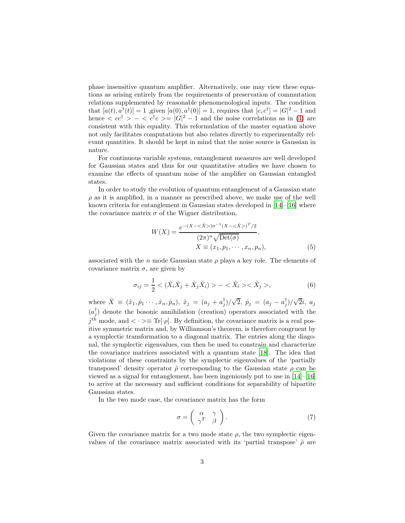phase insensitive quantum amplifier. Alternatively, one may view these equations as arising entirely from the requirements of preservation of commutation relations supplemented by reasonable phenomenological inputs. The condition that  $[a(t), a^{\dagger}(t)] = 1$ , given  $[a(0), a^{\dagger}(0)] = 1$ , requires that  $[c, c^{\dagger}] = |G|^2 - 1$  and hence  $\langle cc^{\dagger} \rangle - \langle c^{\dagger}c \rangle = |G|^2 - 1$  and the noise correlations as in [\(4\)](#page-1-2) are consistent with this equality. This reformulation of the master equation above not only facilitates computations but also relates directly to experimentally relevant quantities. It should be kept in mind that the noise source is Gaussian in nature.

For continuous variable systems, entanglement measures are well developed for Gaussian states and thus for our quantitative studies we have chosen to examine the effects of quantum noise of the amplifier on Gaussian entangled states.

In order to study the evolution of quantum entanglement of a Gaussian state  $\rho$  as it is amplified, in a manner as prescribed above, we make use of the well known criteria for entanglement in Gaussian states developed in  $[14]-[16]$  $[14]-[16]$  where the covariance matrix  $\sigma$  of the Wigner distribution,

$$
W(X) = \frac{e^{-(X - \langle \hat{X} \rangle)\sigma^{-1}(X - \langle \hat{X} \rangle)^{T}/2}}{(2\pi)^{n}\sqrt{\text{Det}(\sigma)}},
$$
  
 
$$
X \equiv (x_1, p_1, \cdots, x_n, p_n),
$$
 (5)

associated with the n mode Gaussian state  $\rho$  plays a key role. The elements of covariance matrix  $\sigma$ , are given by

$$
\sigma_{ij} = \frac{1}{2} < (\hat{X}_i \hat{X}_j + \hat{X}_j \hat{X}_i) > - < \hat{X}_i > < \hat{X}_j > \tag{6}
$$

where  $\hat{X} \equiv (\hat{x}_1, \hat{p}_1 \cdots, \hat{x}_n, \hat{p}_n), \ \hat{x}_j \ = \ (a_j + a_j^{\dagger})/\sqrt{2}, \ \hat{p}_j \ = \ (a_j - a_j^{\dagger})/\sqrt{2}i, \ a_j$  $(a_j^{\dagger})$  denote the bosonic annihilation (creation) operators associated with the  $j<sup>th</sup>$  mode, and  $\langle \cdot \rangle \equiv \text{Tr}[\cdot \rho]$ . By definition, the covariance matrix is a real positive symmetric matrix and, by Williamson's theorem, is therefore congruent by a symplectic transformation to a diagonal matrix. The entries along the diagonal, the symplectic eigenvalues, can then be used to constrain and characterize the covariance matrices associated with a quantum state [\[18\]](#page-8-5). The idea that violations of these constraints by the symplectic eigenvalues of the 'partially transposed' density operator  $\tilde{\rho}$  corresponding to the Gaussian state  $\rho$  can be viewed as a signal for entanglement, has been ingeniously put to use in  $[14]-[16]$  $[14]-[16]$ to arrive at the necessary and sufficient conditions for separability of bipartite Gaussian states.

In the two mode case, the covariance matrix has the form

$$
\sigma = \left(\begin{array}{cc} \alpha & \gamma \\ \gamma^T & \beta \end{array}\right). \tag{7}
$$

Given the covariance matrix for a two mode state  $\rho$ , the two symplectic eigenvalues of the covariance matrix associated with its 'partial transpose'  $\tilde{\rho}$  are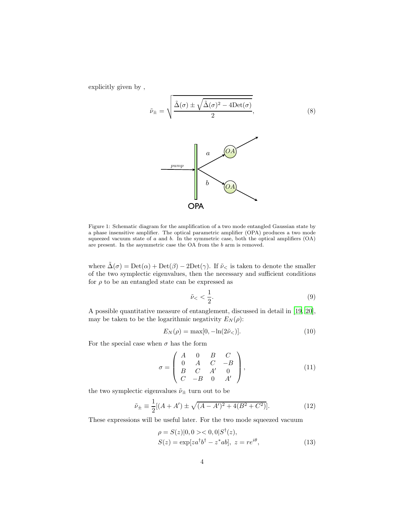explicitly given by ,



Figure 1: Schematic diagram for the amplification of a two mode entangled Gaussian state by a phase insensitive amplifier. The optical parametric amplifier (OPA) produces a two mode squeezed vacuum state of  $a$  and  $b$ . In the symmetric case, both the optical amplifiers  $(OA)$ are present. In the asymmetric case the OA from the  $b$  arm is removed.

where  $\tilde{\Delta}(\sigma) = \text{Det}(\alpha) + \text{Det}(\beta) - 2\text{Det}(\gamma)$ . If  $\tilde{\nu}_{\leq}$  is taken to denote the smaller of the two symplectic eigenvalues, then the necessary and sufficient conditions for  $\rho$  to be an entangled state can be expressed as

$$
\tilde{\nu}_{\leq} < \frac{1}{2}.\tag{9}
$$

A possible quantitative measure of entanglement, discussed in detail in [\[19](#page-8-6), [20\]](#page-8-7), may be taken to be the logarithmic negativity  $E_N(\rho)$ :

$$
E_N(\rho) = \max[0, -\ln(2\tilde{\nu}_<)].
$$
\n(10)

For the special case when  $\sigma$  has the form

$$
\sigma = \begin{pmatrix} A & 0 & B & C \\ 0 & A & C & -B \\ B & C & A' & 0 \\ C & -B & 0 & A' \end{pmatrix},
$$
(11)

the two symplectic eigenvalues  $\tilde{\nu}_{\pm}$  turn out to be

<span id="page-3-0"></span>
$$
\tilde{\nu}_{\pm} \equiv \frac{1}{2} [(A + A') \pm \sqrt{(A - A')^2 + 4(B^2 + C^2)}]. \tag{12}
$$

These expressions will be useful later. For the two mode squeezed vacuum

$$
\rho = S(z)|0, 0> < 0, 0|S^{\dagger}(z),S(z) = \exp[za^{\dagger}b^{\dagger} - z^*ab], z = re^{i\theta},
$$
\n(13)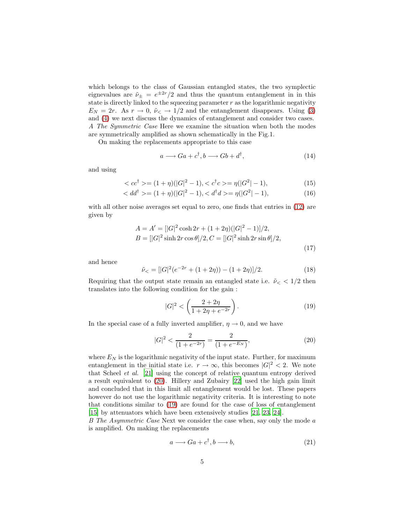which belongs to the class of Gaussian entangled states, the two symplectic eignevalues are  $\tilde{\nu}_{\pm} = e^{\pm 2r}/2$  and thus the quantum entanglement in in this state is directly linked to the squeezing parameter  $r$  as the logarithmic negativity  $E_N = 2r$ . As  $r \to 0$ ,  $\tilde{\nu}_\leq 2\pi$  and the entanglement disappears. Using [\(3\)](#page-1-1) and [\(4\)](#page-1-2) we next discuss the dynamics of entanglement and consider two cases. A The Symmetric Case Here we examine the situation when both the modes are symmetrically amplified as shown schematically in the Fig.1.

On making the replacements appropriate to this case

$$
a \longrightarrow Ga + c^{\dagger}, b \longrightarrow Gb + d^{\dagger}, \tag{14}
$$

and using

<span id="page-4-2"></span>
$$
\langle cc^{\dagger} \rangle = (1 + \eta)(|G|^2 - 1), \langle c^{\dagger}c \rangle = \eta(|G^2| - 1), \tag{15}
$$

$$
\langle dd^{\dagger} \rangle = (1 + \eta)(|G|^2 - 1), \langle d^{\dagger} d \rangle = \eta(|G^2| - 1), \tag{16}
$$

with all other noise averages set equal to zero, one finds that entries in [\(12\)](#page-3-0) are given by

$$
A = A' = [|G|^2 \cosh 2r + (1 + 2\eta)(|G|^2 - 1)]/2,
$$
  
\n
$$
B = [|G|^2 \sinh 2r \cos \theta]/2, C = [|G|^2 \sinh 2r \sin \theta]/2,
$$
\n(17)

and hence

$$
\tilde{\nu}_{<} = \frac{|G|^2(e^{-2r} + (1+2\eta)) - (1+2\eta)|}{2}.\tag{18}
$$

Requiring that the output state remain an entangled state i.e.  $\tilde{\nu} < 1/2$  then translates into the following condition for the gain :

<span id="page-4-0"></span>
$$
|G|^2 < \left(\frac{2+2\eta}{1+2\eta + e^{-2r}}\right). \tag{19}
$$

In the special case of a fully inverted amplifier,  $\eta \to 0$ , and we have

<span id="page-4-1"></span>
$$
|G|^2 < \frac{2}{(1 + e^{-2r})} = \frac{2}{(1 + e^{-E_N})},\tag{20}
$$

where  $E_N$  is the logarithmic negativity of the input state. Further, for maximum entanglement in the initial state i.e.  $r \to \infty$ , this becomes  $|G|^2 < 2$ . We note that Scheel et al. [\[21](#page-8-8)] using the concept of relative quantum entropy derived a result equivalent to [\(20\)](#page-4-1). Hillery and Zubairy [\[22\]](#page-8-9) used the high gain limit and concluded that in this limit all entanglement would be lost. These papers however do not use the logarithmic negativity criteria. It is interesting to note that conditions similar to [\(19\)](#page-4-0) are found for the case of loss of entanglement [\[15\]](#page-8-10) by attenuators which have been extensively studies [\[21](#page-8-8), [23,](#page-8-11) [24\]](#page-8-12).

B The Asymmetric Case Next we consider the case when, say only the mode a is amplified. On making the replacements

$$
a \longrightarrow Ga + c^{\dagger}, b \longrightarrow b,\tag{21}
$$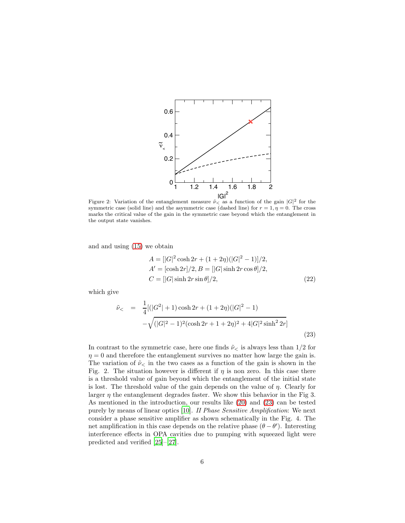

Figure 2: Variation of the entanglement measure  $\tilde{\nu}_{\le}$  as a function of the gain  $|G|^2$  for the symmetric case (solid line) and the asymmetric case (dashed line) for  $r = 1, \eta = 0$ . The cross marks the critical value of the gain in the symmetric case beyond which the entanglement in the output state vanishes.

and and using [\(15\)](#page-4-2) we obtain

$$
A = [|G|^2 \cosh 2r + (1 + 2\eta)(|G|^2 - 1)]/2,
$$
  
\n
$$
A' = [\cosh 2r]/2, B = [|G|\sinh 2r \cos \theta]/2,
$$
  
\n
$$
C = [|G|\sinh 2r \sin \theta]/2,
$$
\n(22)

which give

<span id="page-5-0"></span>
$$
\tilde{\nu}_{<} = \frac{1}{4} [(|G^2| + 1) \cosh 2r + (1 + 2\eta)(|G|^2 - 1) - \sqrt{(|G|^2 - 1)^2 (\cosh 2r + 1 + 2\eta)^2 + 4|G|^2 \sinh^2 2r}] \tag{23}
$$

In contrast to the symmetric case, here one finds  $\tilde{\nu}_{\leq}$  is always less than 1/2 for  $\eta = 0$  and therefore the entanglement survives no matter how large the gain is. The variation of  $\tilde{\nu}_{\leq}$  in the two cases as a function of the gain is shown in the Fig. 2. The situation however is different if  $\eta$  is non zero. In this case there is a threshold value of gain beyond which the entanglement of the initial state is lost. The threshold value of the gain depends on the value of  $\eta$ . Clearly for larger  $\eta$  the entanglement degrades faster. We show this behavior in the Fig 3. As mentioned in the introduction, our results like [\(20\)](#page-4-1) and [\(23\)](#page-5-0) can be tested purely by means of linear optics [\[10](#page-7-2)]. II Phase Sensitive Amplification: We next consider a phase sensitive amplifier as shown schematically in the Fig. 4. The net amplification in this case depends on the relative phase  $(\theta - \theta')$ . Interesting interference effects in OPA cavities due to pumping with squeezed light were predicted and verified [\[25\]](#page-8-13)–[\[27\]](#page-8-14).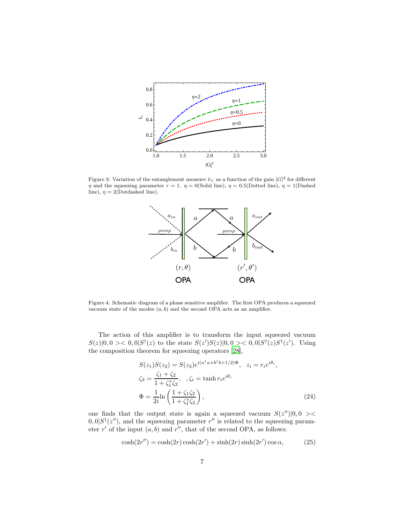

Figure 3: Variation of the entanglement measure  $\tilde{\nu}_{\le}$  as a function of the gain  $|G|^2$  for different  $\eta$  and the squeezing parameter  $r = 1$ .  $\eta = 0$ (Solid line),  $\eta = 0.5$ (Dotted line),  $\eta = 1$ (Dashed line),  $\eta = 2$ (Dotdashed line).



Figure 4: Schematic diagram of a phase sensitive amplifier. The first OPA produces a squeezed vacuum state of the modes  $(a, b)$  and the second OPA acts as an amplifier.

The action of this amplifier is to transform the input squeezed vacuum  $S(z)|0,0> < 0,0|S^{\dagger}(z)$  to the state  $S(z')S(z)|0,0> < 0,0|S^{\dagger}(z)S^{\dagger}(z')$ . Using the composition theorem for squeezing operators [\[28](#page-8-15)],

$$
S(z_1)S(z_2) = S(z_3)e^{i(a^{\dagger}a+b^{\dagger}b+1/2)\Phi}, \quad z_i = r_i e^{i\theta_i},
$$
  
\n
$$
\zeta_3 = \frac{\zeta_1 + \zeta_2}{1 + \zeta_1^*\zeta_2}, \quad, \zeta_i = \tanh r_i e^{i\theta_i}
$$
  
\n
$$
\Phi = \frac{1}{2i} \ln \left( \frac{1 + \zeta_1 \zeta_2}{1 + \zeta_1^*\zeta_2} \right),
$$
\n(24)

one finds that the output state is again a squeezed vacuum  $S(z'')|0,0><$  $(0,0)S^{\dagger}(z'')$ , and the squeezing parameter r'' is related to the squeezing parameter  $r'$  of the input  $(a, b)$  and  $r''$ , that of the second OPA, as follows:

$$
\cosh(2r'') = \cosh(2r)\cosh(2r') + \sinh(2r)\sinh(2r')\cos\alpha, \qquad (25)
$$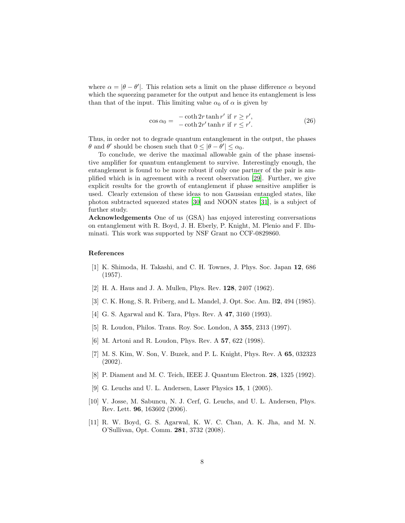where  $\alpha = |\theta - \theta'|$ . This relation sets a limit on the phase difference  $\alpha$  beyond which the squeezing parameter for the output and hence its entanglement is less than that of the input. This limiting value  $\alpha_0$  of  $\alpha$  is given by

$$
\cos \alpha_0 = \frac{-\coth 2r \tanh r' \text{ if } r \ge r',}{-\coth 2r' \tanh r \text{ if } r \le r'}. \tag{26}
$$

Thus, in order not to degrade quantum entanglement in the output, the phases  $\theta$  and  $\theta'$  should be chosen such that  $0 \leq |\theta - \theta'| \leq \alpha_0$ .

To conclude, we derive the maximal allowable gain of the phase insensitive amplifier for quantum entanglement to survive. Interestingly enough, the entanglement is found to be more robust if only one partner of the pair is amplified which is in agreement with a recent observation [\[29\]](#page-8-16). Further, we give explicit results for the growth of entanglement if phase sensitive amplifier is used. Clearly extension of these ideas to non Gaussian entangled states, like photon subtracted squeezed states [\[30\]](#page-8-17) and NOON states [\[31\]](#page-8-18), is a subject of further study.

Acknowledgements One of us (GSA) has enjoyed interesting conversations on entanglement with R. Boyd, J. H. Eberly, P. Knight, M. Plenio and F. Illuminati. This work was supported by NSF Grant no CCF-0829860.

## References

- <span id="page-7-0"></span>[1] K. Shimoda, H. Takashi, and C. H. Townes, J. Phys. Soc. Japan 12, 686 (1957).
- [2] H. A. Haus and J. A. Mullen, Phys. Rev. 128, 2407 (1962).
- <span id="page-7-3"></span>[3] C. K. Hong, S. R. Friberg, and L. Mandel, J. Opt. Soc. Am. B2, 494 (1985).
- [4] G. S. Agarwal and K. Tara, Phys. Rev. A 47, 3160 (1993).
- [5] R. Loudon, Philos. Trans. Roy. Soc. London, A 355, 2313 (1997).
- [6] M. Artoni and R. Loudon, Phys. Rev. A 57, 622 (1998).
- [7] M. S. Kim, W. Son, V. Buzek, and P. L. Knight, Phys. Rev. A 65, 032323 (2002).
- [8] P. Diament and M. C. Teich, IEEE J. Quantum Electron. 28, 1325 (1992).
- [9] G. Leuchs and U. L. Andersen, Laser Physics 15, 1 (2005).
- <span id="page-7-2"></span>[10] V. Josse, M. Sabuncu, N. J. Cerf, G. Leuchs, and U. L. Andersen, Phys. Rev. Lett. 96, 163602 (2006).
- <span id="page-7-1"></span>[11] R. W. Boyd, G. S. Agarwal, K. W. C. Chan, A. K. Jha, and M. N. O'Sullivan, Opt. Comm. 281, 3732 (2008).